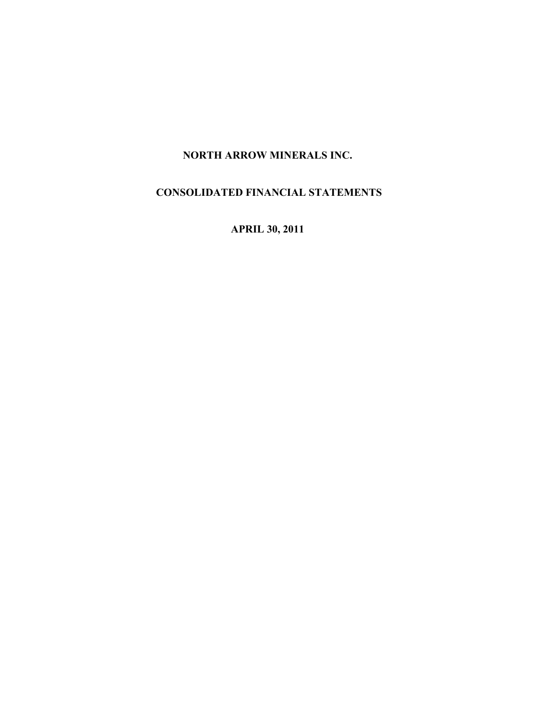# NORTH ARROW MINERALS INC.

# CONSOLIDATED FINANCIAL STATEMENTS

APRIL 30, 2011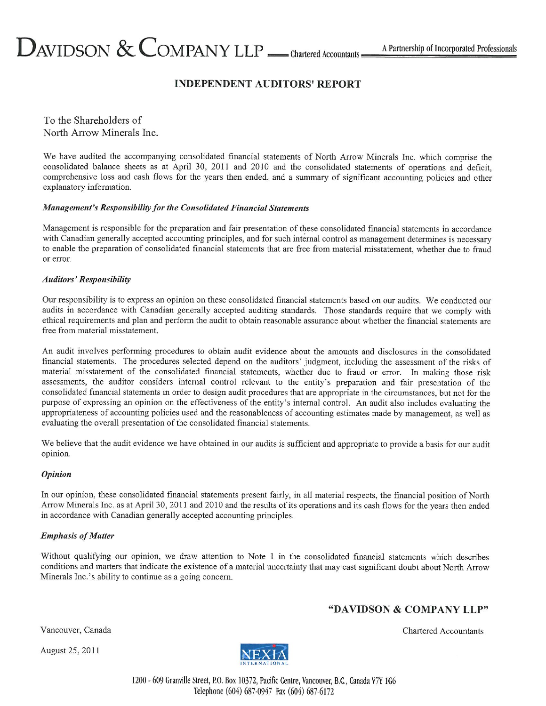# $D_{\text{AVIDSON}} \&$  COMPANY LLP <u>—</u> chartered Accountants  $=$

# **INDEPENDENT AUDITORS' REPORT**

To the Shareholders of North Arrow Minerals Inc.

We have audited the accompanying consolidated financial statements of North Arrow Minerals Inc. which comprise the consolidated balance sheets as at April 30, 2011 and 2010 and the consolidated statements of operations and deficit. comprehensive loss and cash flows for the years then ended, and a summary of significant accounting policies and other explanatory information.

# **Management's Responsibility for the Consolidated Financial Statements**

Management is responsible for the preparation and fair presentation of these consolidated financial statements in accordance with Canadian generally accepted accounting principles, and for such internal control as management determines is necessary to enable the preparation of consolidated financial statements that are free from material misstatement, whether due to fraud or error.

# **Auditors' Responsibility**

Our responsibility is to express an opinion on these consolidated financial statements based on our audits. We conducted our audits in accordance with Canadian generally accepted auditing standards. Those standards require that we comply with ethical requirements and plan and perform the audit to obtain reasonable assurance about whether the financial statements are free from material misstatement.

An audit involves performing procedures to obtain audit evidence about the amounts and disclosures in the consolidated financial statements. The procedures selected depend on the auditors' judgment, including the assessment of the risks of material misstatement of the consolidated financial statements, whether due to fraud or error. In making those risk assessments, the auditor considers internal control relevant to the entity's preparation and fair presentation of the consolidated financial statements in order to design audit procedures that are appropriate in the circumstances, but not for the purpose of expressing an opinion on the effectiveness of the entity's internal control. An audit also includes evaluating the appropriateness of accounting policies used and the reasonableness of accounting estimates made by management, as well as evaluating the overall presentation of the consolidated financial statements.

We believe that the audit evidence we have obtained in our audits is sufficient and appropriate to provide a basis for our audit opinion.

# **Opinion**

In our opinion, these consolidated financial statements present fairly, in all material respects, the financial position of North Arrow Minerals Inc. as at April 30, 2011 and 2010 and the results of its operations and its cash flows for the years then ended in accordance with Canadian generally accepted accounting principles.

# **Emphasis of Matter**

Without qualifying our opinion, we draw attention to Note 1 in the consolidated financial statements which describes conditions and matters that indicate the existence of a material uncertainty that may cast significant doubt about North Arrow Minerals Inc.'s ability to continue as a going concern.

# "DAVIDSON & COMPANY LLP"

Vancouver, Canada

August 25, 2011



Chartered Accountants

1200 - 609 Granville Street, P.O. Box 10372, Pacific Centre, Vancouver, B.C., Canada V7Y 1G6 Telephone (604) 687-0947 Fax (604) 687-6172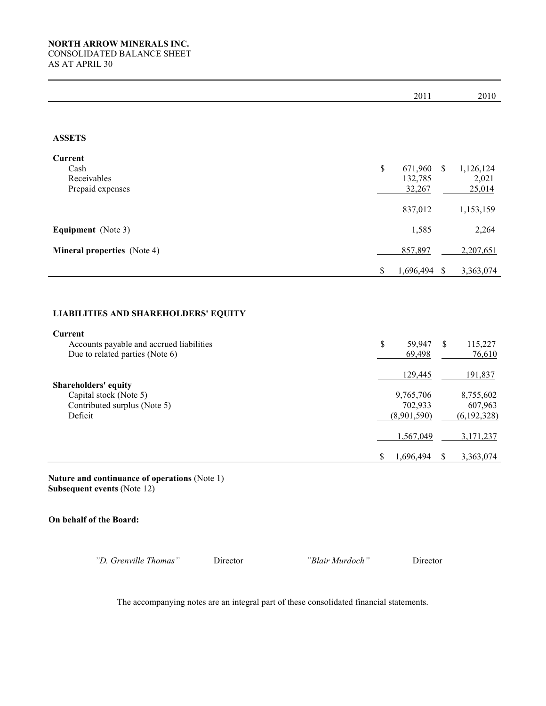|                                                                                           | 2011                                           |               | 2010                                             |
|-------------------------------------------------------------------------------------------|------------------------------------------------|---------------|--------------------------------------------------|
|                                                                                           |                                                |               |                                                  |
| <b>ASSETS</b>                                                                             |                                                |               |                                                  |
| Current<br>Cash<br>Receivables<br>Prepaid expenses                                        | \$<br>671,960<br>132,785<br>32,267             | \$            | 1,126,124<br>2,021<br>25,014                     |
|                                                                                           | 837,012                                        |               | 1,153,159                                        |
| <b>Equipment</b> (Note 3)                                                                 | 1,585                                          |               | 2,264                                            |
| <b>Mineral properties</b> (Note 4)                                                        | 857,897                                        |               | 2,207,651                                        |
|                                                                                           | \$<br>1,696,494 \$                             |               | 3,363,074                                        |
| <b>LIABILITIES AND SHAREHOLDERS' EQUITY</b><br><b>Current</b>                             |                                                |               |                                                  |
| Accounts payable and accrued liabilities<br>Due to related parties (Note 6)               | \$<br>59,947<br>69,498                         | \$            | 115,227<br>76,610                                |
| Shareholders' equity<br>Capital stock (Note 5)<br>Contributed surplus (Note 5)<br>Deficit | 129,445<br>9,765,706<br>702,933<br>(8,901,590) |               | 191,837<br>8,755,602<br>607,963<br>(6, 192, 328) |
|                                                                                           | \$<br>1,567,049<br>1,696,494                   | $\mathcal{S}$ | 3,171,237<br>3,363,074                           |
| Nature and continuance of operations (Note 1)<br><b>Subsequent events (Note 12)</b>       |                                                |               |                                                  |

On behalf of the Board:

"D. Grenville Thomas" Director "Blair Murdoch" Director

The accompanying notes are an integral part of these consolidated financial statements.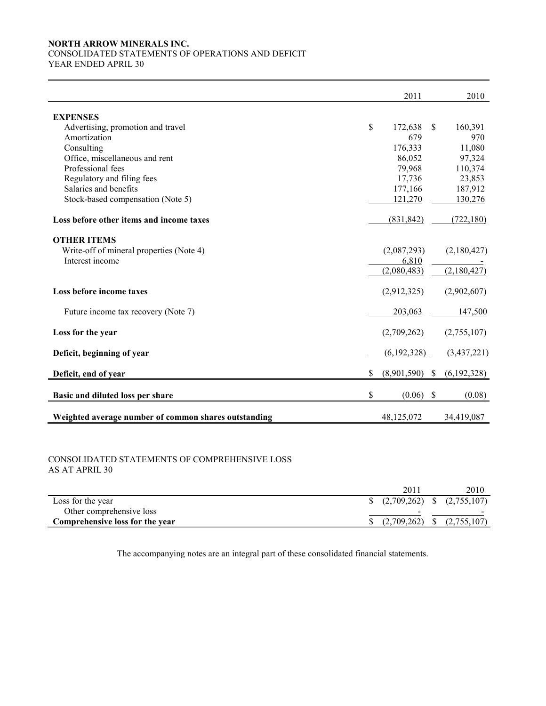#### NORTH ARROW MINERALS INC. CONSOLIDATED STATEMENTS OF OPERATIONS AND DEFICIT

YEAR ENDED APRIL 30

|                                                      | 2011              |               | 2010        |
|------------------------------------------------------|-------------------|---------------|-------------|
| <b>EXPENSES</b>                                      |                   |               |             |
| Advertising, promotion and travel                    | \$<br>172,638     | <sup>\$</sup> | 160,391     |
| Amortization                                         | 679               |               | 970         |
| Consulting                                           | 176,333           |               | 11,080      |
| Office, miscellaneous and rent                       | 86,052            |               | 97,324      |
| Professional fees                                    | 79,968            |               | 110,374     |
| Regulatory and filing fees                           | 17,736            |               | 23,853      |
| Salaries and benefits                                | 177,166           |               | 187,912     |
| Stock-based compensation (Note 5)                    | 121,270           |               | 130,276     |
| Loss before other items and income taxes             | (831, 842)        |               | (722, 180)  |
| <b>OTHER ITEMS</b>                                   |                   |               |             |
| Write-off of mineral properties (Note 4)             | (2,087,293)       |               | (2,180,427) |
| Interest income                                      | 6,810             |               |             |
|                                                      | (2,080,483)       |               | (2,180,427) |
| Loss before income taxes                             | (2,912,325)       |               | (2,902,607) |
| Future income tax recovery (Note 7)                  | 203,063           |               | 147,500     |
| Loss for the year                                    | (2,709,262)       |               | (2,755,107) |
| Deficit, beginning of year                           | (6,192,328)       |               | (3,437,221) |
| Deficit, end of year                                 | \$<br>(8,901,590) | $\mathcal{S}$ | (6,192,328) |
| Basic and diluted loss per share                     | \$<br>(0.06)      | \$            | (0.08)      |
| Weighted average number of common shares outstanding | 48, 125, 072      |               | 34,419,087  |

#### CONSOLIDATED STATEMENTS OF COMPREHENSIVE LOSS AS AT APRIL 30

|                                 | 201 | 2010                                                |
|---------------------------------|-----|-----------------------------------------------------|
| Loss for the year               |     | $\frac{1}{2}$ (2,709,262) $\frac{1}{2}$ (2,755,107) |
| Other comprehensive loss        |     |                                                     |
| Comprehensive loss for the year |     | $(2,709,262)$ \$ $(2,755,107)$                      |

The accompanying notes are an integral part of these consolidated financial statements.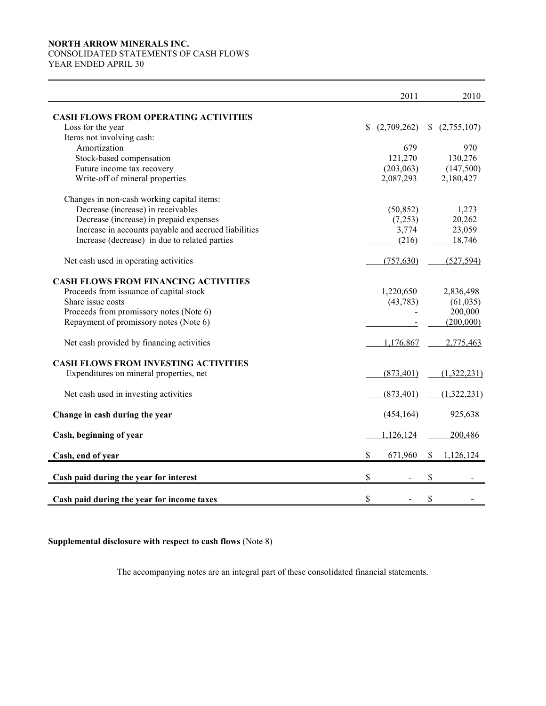# NORTH ARROW MINERALS INC. CONSOLIDATED STATEMENTS OF CASH FLOWS

YEAR ENDED APRIL 30

|                                                      |              | 2011        | 2010            |
|------------------------------------------------------|--------------|-------------|-----------------|
| <b>CASH FLOWS FROM OPERATING ACTIVITIES</b>          |              |             |                 |
| Loss for the year                                    | $\mathbb{S}$ | (2,709,262) | (2,755,107)     |
| Items not involving cash:                            |              |             |                 |
| Amortization                                         |              | 679         | 970             |
| Stock-based compensation                             |              | 121,270     | 130,276         |
| Future income tax recovery                           |              | (203, 063)  | (147,500)       |
| Write-off of mineral properties                      |              | 2,087,293   | 2,180,427       |
| Changes in non-cash working capital items:           |              |             |                 |
| Decrease (increase) in receivables                   |              | (50, 852)   | 1,273           |
| Decrease (increase) in prepaid expenses              |              | (7,253)     | 20,262          |
| Increase in accounts payable and accrued liabilities |              | 3,774       | 23,059          |
| Increase (decrease) in due to related parties        |              | (216)       | 18,746          |
| Net cash used in operating activities                |              | (757, 630)  | (527, 594)      |
| <b>CASH FLOWS FROM FINANCING ACTIVITIES</b>          |              |             |                 |
| Proceeds from issuance of capital stock              |              | 1,220,650   | 2,836,498       |
| Share issue costs                                    |              | (43, 783)   | (61, 035)       |
| Proceeds from promissory notes (Note 6)              |              |             | 200,000         |
| Repayment of promissory notes (Note 6)               |              |             | (200,000)       |
| Net cash provided by financing activities            |              | 1,176,867   | 2,775,463       |
| <b>CASH FLOWS FROM INVESTING ACTIVITIES</b>          |              |             |                 |
| Expenditures on mineral properties, net              |              | (873, 401)  | (1,322,231)     |
| Net cash used in investing activities                |              | (873, 401)  | (1,322,231)     |
| Change in cash during the year                       |              | (454, 164)  | 925,638         |
| Cash, beginning of year                              |              | 1,126,124   | 200,486         |
| Cash, end of year                                    | \$           | 671,960     | \$<br>1,126,124 |
|                                                      |              |             |                 |
| Cash paid during the year for interest               | \$           |             | \$              |
| Cash paid during the year for income taxes           | \$           |             | \$              |

Supplemental disclosure with respect to cash flows (Note 8)

The accompanying notes are an integral part of these consolidated financial statements.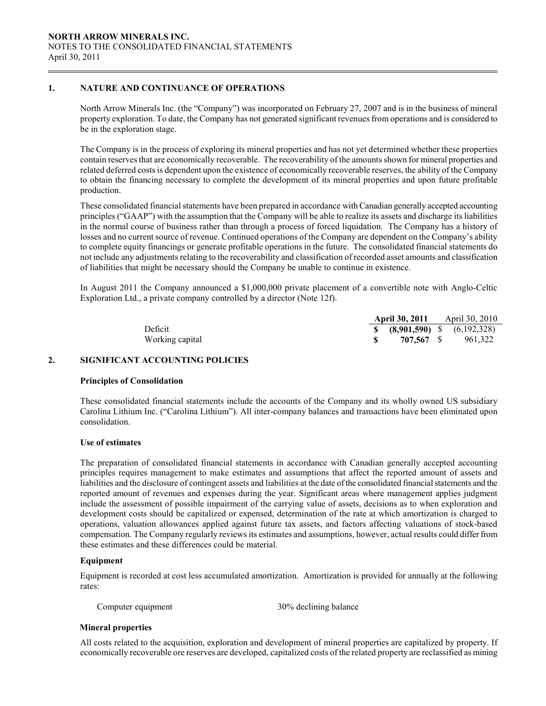# 1. NATURE AND CONTINUANCE OF OPERATIONS

 $\overline{a}$ 

North Arrow Minerals Inc. (the "Company") was incorporated on February 27, 2007 and is in the business of mineral property exploration. To date, the Company has not generated significant revenues from operations and is considered to be in the exploration stage.

The Company is in the process of exploring its mineral properties and has not yet determined whether these properties contain reserves that are economically recoverable. The recoverability of the amounts shown for mineral properties and related deferred costs is dependent upon the existence of economically recoverable reserves, the ability of the Company to obtain the financing necessary to complete the development of its mineral properties and upon future profitable production.

 These consolidated financial statements have been prepared in accordance with Canadian generally accepted accounting principles ("GAAP") with the assumption that the Company will be able to realize its assets and discharge its liabilities in the normal course of business rather than through a process of forced liquidation. The Company has a history of losses and no current source of revenue. Continued operations of the Company are dependent on the Company's ability to complete equity financings or generate profitable operations in the future. The consolidated financial statements do not include any adjustments relating to the recoverability and classification of recorded asset amounts and classification of liabilities that might be necessary should the Company be unable to continue in existence.

In August 2011 the Company announced a \$1,000,000 private placement of a convertible note with Anglo-Celtic Exploration Ltd., a private company controlled by a director (Note 12f).

|                 | <b>April 30, 2011</b>                | April 30, 2010 |
|-----------------|--------------------------------------|----------------|
| Deficit         | <b>\$</b> (8,901,590) \$ (6,192,328) |                |
| Working capital | 707.567 S                            | 961.322        |

# 2. SIGNIFICANT ACCOUNTING POLICIES

#### Principles of Consolidation

These consolidated financial statements include the accounts of the Company and its wholly owned US subsidiary Carolina Lithium Inc. ("Carolina Lithium"). All inter-company balances and transactions have been eliminated upon consolidation.

#### Use of estimates

The preparation of consolidated financial statements in accordance with Canadian generally accepted accounting principles requires management to make estimates and assumptions that affect the reported amount of assets and liabilities and the disclosure of contingent assets and liabilities at the date of the consolidated financial statements and the reported amount of revenues and expenses during the year. Significant areas where management applies judgment include the assessment of possible impairment of the carrying value of assets, decisions as to when exploration and development costs should be capitalized or expensed, determination of the rate at which amortization is charged to operations, valuation allowances applied against future tax assets, and factors affecting valuations of stock-based compensation. The Company regularly reviews its estimates and assumptions, however, actual results could differ from these estimates and these differences could be material.

#### Equipment

 Equipment is recorded at cost less accumulated amortization. Amortization is provided for annually at the following rates:

Computer equipment 30% declining balance

#### Mineral properties

 All costs related to the acquisition, exploration and development of mineral properties are capitalized by property. If economically recoverable ore reserves are developed, capitalized costs of the related property are reclassified as mining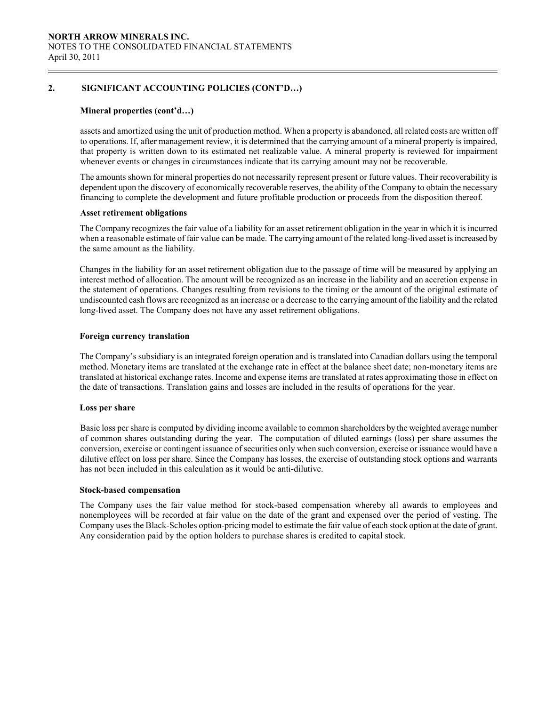# 2. SIGNIFICANT ACCOUNTING POLICIES (CONT'D…)

#### Mineral properties (cont'd…)

 assets and amortized using the unit of production method. When a property is abandoned, all related costs are written off to operations. If, after management review, it is determined that the carrying amount of a mineral property is impaired, that property is written down to its estimated net realizable value. A mineral property is reviewed for impairment whenever events or changes in circumstances indicate that its carrying amount may not be recoverable.

 The amounts shown for mineral properties do not necessarily represent present or future values. Their recoverability is dependent upon the discovery of economically recoverable reserves, the ability of the Company to obtain the necessary financing to complete the development and future profitable production or proceeds from the disposition thereof.

#### Asset retirement obligations

The Company recognizes the fair value of a liability for an asset retirement obligation in the year in which it is incurred when a reasonable estimate of fair value can be made. The carrying amount of the related long-lived asset is increased by the same amount as the liability.

Changes in the liability for an asset retirement obligation due to the passage of time will be measured by applying an interest method of allocation. The amount will be recognized as an increase in the liability and an accretion expense in the statement of operations. Changes resulting from revisions to the timing or the amount of the original estimate of undiscounted cash flows are recognized as an increase or a decrease to the carrying amount of the liability and the related long-lived asset. The Company does not have any asset retirement obligations.

#### Foreign currency translation

The Company's subsidiary is an integrated foreign operation and is translated into Canadian dollars using the temporal method. Monetary items are translated at the exchange rate in effect at the balance sheet date; non-monetary items are translated at historical exchange rates. Income and expense items are translated at rates approximating those in effect on the date of transactions. Translation gains and losses are included in the results of operations for the year.

#### Loss per share

 Basic loss per share is computed by dividing income available to common shareholders by the weighted average number of common shares outstanding during the year. The computation of diluted earnings (loss) per share assumes the conversion, exercise or contingent issuance of securities only when such conversion, exercise or issuance would have a dilutive effect on loss per share. Since the Company has losses, the exercise of outstanding stock options and warrants has not been included in this calculation as it would be anti-dilutive.

#### Stock-based compensation

 The Company uses the fair value method for stock-based compensation whereby all awards to employees and nonemployees will be recorded at fair value on the date of the grant and expensed over the period of vesting. The Company uses the Black-Scholes option-pricing model to estimate the fair value of each stock option at the date of grant. Any consideration paid by the option holders to purchase shares is credited to capital stock.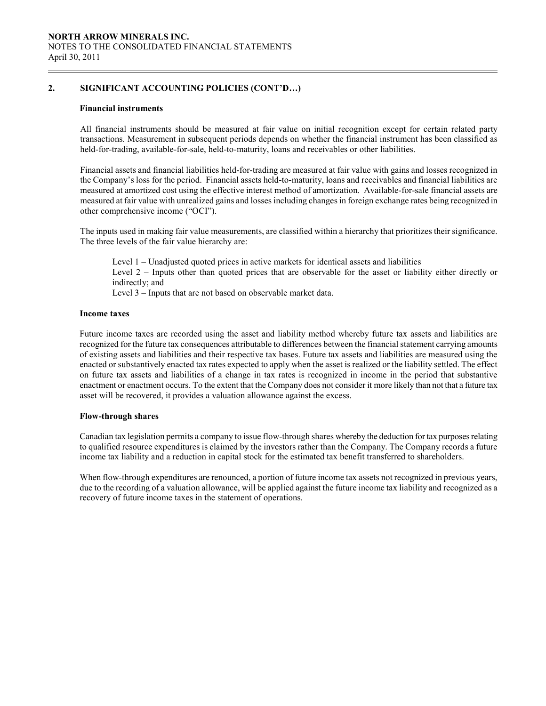# 2. SIGNIFICANT ACCOUNTING POLICIES (CONT'D…)

#### Financial instruments

All financial instruments should be measured at fair value on initial recognition except for certain related party transactions. Measurement in subsequent periods depends on whether the financial instrument has been classified as held-for-trading, available-for-sale, held-to-maturity, loans and receivables or other liabilities.

Financial assets and financial liabilities held-for-trading are measured at fair value with gains and losses recognized in the Company's loss for the period. Financial assets held-to-maturity, loans and receivables and financial liabilities are measured at amortized cost using the effective interest method of amortization. Available-for-sale financial assets are measured at fair value with unrealized gains and losses including changes in foreign exchange rates being recognized in other comprehensive income ("OCI").

The inputs used in making fair value measurements, are classified within a hierarchy that prioritizes their significance. The three levels of the fair value hierarchy are:

 Level 1 – Unadjusted quoted prices in active markets for identical assets and liabilities Level 2 – Inputs other than quoted prices that are observable for the asset or liability either directly or indirectly; and Level 3 – Inputs that are not based on observable market data.

## Income taxes

Future income taxes are recorded using the asset and liability method whereby future tax assets and liabilities are recognized for the future tax consequences attributable to differences between the financial statement carrying amounts of existing assets and liabilities and their respective tax bases. Future tax assets and liabilities are measured using the enacted or substantively enacted tax rates expected to apply when the asset is realized or the liability settled. The effect on future tax assets and liabilities of a change in tax rates is recognized in income in the period that substantive enactment or enactment occurs. To the extent that the Company does not consider it more likely than not that a future tax asset will be recovered, it provides a valuation allowance against the excess.

#### Flow-through shares

Canadian tax legislation permits a company to issue flow-through shares whereby the deduction for tax purposes relating to qualified resource expenditures is claimed by the investors rather than the Company. The Company records a future income tax liability and a reduction in capital stock for the estimated tax benefit transferred to shareholders.

When flow-through expenditures are renounced, a portion of future income tax assets not recognized in previous years, due to the recording of a valuation allowance, will be applied against the future income tax liability and recognized as a recovery of future income taxes in the statement of operations.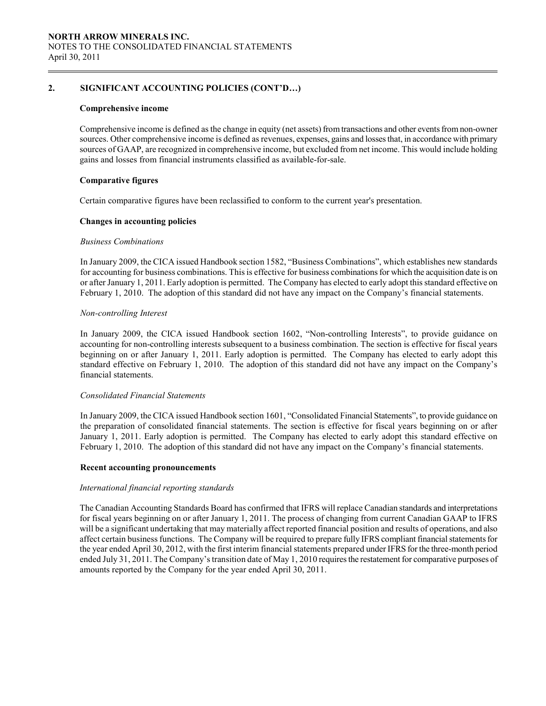# 2. SIGNIFICANT ACCOUNTING POLICIES (CONT'D…)

#### Comprehensive income

Comprehensive income is defined as the change in equity (net assets) from transactions and other events from non-owner sources. Other comprehensive income is defined as revenues, expenses, gains and losses that, in accordance with primary sources of GAAP, are recognized in comprehensive income, but excluded from net income. This would include holding gains and losses from financial instruments classified as available-for-sale.

#### Comparative figures

Certain comparative figures have been reclassified to conform to the current year's presentation.

#### Changes in accounting policies

#### Business Combinations

In January 2009, the CICA issued Handbook section 1582, "Business Combinations", which establishes new standards for accounting for business combinations. This is effective for business combinations for which the acquisition date is on or after January 1, 2011. Early adoption is permitted. The Company has elected to early adopt this standard effective on February 1, 2010. The adoption of this standard did not have any impact on the Company's financial statements.

#### Non-controlling Interest

In January 2009, the CICA issued Handbook section 1602, "Non-controlling Interests", to provide guidance on accounting for non-controlling interests subsequent to a business combination. The section is effective for fiscal years beginning on or after January 1, 2011. Early adoption is permitted. The Company has elected to early adopt this standard effective on February 1, 2010. The adoption of this standard did not have any impact on the Company's financial statements.

#### Consolidated Financial Statements

In January 2009, the CICA issued Handbook section 1601, "Consolidated Financial Statements", to provide guidance on the preparation of consolidated financial statements. The section is effective for fiscal years beginning on or after January 1, 2011. Early adoption is permitted. The Company has elected to early adopt this standard effective on February 1, 2010. The adoption of this standard did not have any impact on the Company's financial statements.

#### Recent accounting pronouncements

# International financial reporting standards

The Canadian Accounting Standards Board has confirmed that IFRS will replace Canadian standards and interpretations for fiscal years beginning on or after January 1, 2011. The process of changing from current Canadian GAAP to IFRS will be a significant undertaking that may materially affect reported financial position and results of operations, and also affect certain business functions. The Company will be required to prepare fully IFRS compliant financial statements for the year ended April 30, 2012, with the first interim financial statements prepared under IFRS for the three-month period ended July 31, 2011. The Company's transition date of May 1, 2010 requires the restatement for comparative purposes of amounts reported by the Company for the year ended April 30, 2011.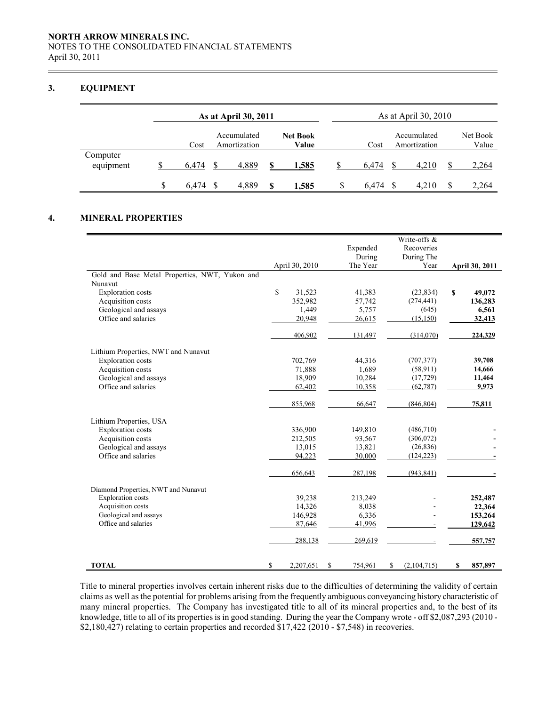# NORTH ARROW MINERALS INC. NOTES TO THE CONSOLIDATED FINANCIAL STATEMENTS April 30, 2011

# 3. EQUIPMENT

 $\overline{a}$ 

|                       |   | As at April 30, 2011 |  |                             |    |                          |       |   | As at April 30, 2010        |                   |
|-----------------------|---|----------------------|--|-----------------------------|----|--------------------------|-------|---|-----------------------------|-------------------|
|                       |   | Cost                 |  | Accumulated<br>Amortization |    | <b>Net Book</b><br>Value | Cost  |   | Accumulated<br>Amortization | Net Book<br>Value |
| Computer<br>equipment |   | 6.474                |  | 4,889                       | \$ | 1,585                    | 6.474 |   | 4.210                       | 2,264             |
|                       | S | 6.474                |  | 4.889                       | S  | 1.585                    | 6.474 | S | 4.210                       | \$<br>2,264       |

# 4. MINERAL PROPERTIES

|                                                |              |                |               | Write-offs &      |                       |
|------------------------------------------------|--------------|----------------|---------------|-------------------|-----------------------|
|                                                |              |                | Expended      | Recoveries        |                       |
|                                                |              |                | During        | During The        |                       |
|                                                |              | April 30, 2010 | The Year      | Year              | <b>April 30, 2011</b> |
| Gold and Base Metal Properties, NWT, Yukon and |              |                |               |                   |                       |
| Nunavut                                        |              |                |               |                   |                       |
| <b>Exploration costs</b>                       | $\mathbb{S}$ | 31,523         | 41,383        | (23, 834)         | \$<br>49,072          |
| Acquisition costs                              |              | 352,982        | 57,742        | (274, 441)        | 136,283               |
| Geological and assays                          |              | 1,449          | 5,757         | (645)             | 6,561                 |
| Office and salaries                            |              | 20,948         | 26,615        | (15, 150)         | 32,413                |
|                                                |              | 406,902        | 131,497       | (314,070)         | 224,329               |
| Lithium Properties, NWT and Nunavut            |              |                |               |                   |                       |
| <b>Exploration costs</b>                       |              | 702,769        | 44,316        | (707, 377)        | 39,708                |
| Acquisition costs                              |              | 71,888         | 1,689         | (58,911)          | 14,666                |
| Geological and assays                          |              | 18,909         | 10,284        | (17,729)          | 11,464                |
| Office and salaries                            |              | 62,402         | 10,358        | (62, 787)         | 9,973                 |
|                                                |              | 855,968        | 66,647        | (846, 804)        | 75,811                |
| Lithium Properties, USA                        |              |                |               |                   |                       |
| <b>Exploration costs</b>                       |              | 336,900        | 149,810       | (486,710)         |                       |
| Acquisition costs                              |              | 212,505        | 93,567        | (306, 072)        |                       |
| Geological and assays                          |              | 13,015         | 13,821        | (26, 836)         |                       |
| Office and salaries                            |              | 94,223         | 30,000        | (124, 223)        |                       |
|                                                |              | 656,643        | 287,198       | (943, 841)        |                       |
| Diamond Properties, NWT and Nunavut            |              |                |               |                   |                       |
| <b>Exploration</b> costs                       |              | 39,238         | 213,249       |                   | 252,487               |
| Acquisition costs                              |              | 14,326         | 8,038         |                   | 22,364                |
| Geological and assays                          |              | 146,928        | 6,336         |                   | 153,264               |
| Office and salaries                            |              | 87,646         | 41,996        |                   | 129,642               |
|                                                |              | 288,138        | 269,619       |                   | 557,757               |
| <b>TOTAL</b>                                   | \$           | 2,207,651      | \$<br>754,961 | \$<br>(2,104,715) | \$<br>857,897         |

 Title to mineral properties involves certain inherent risks due to the difficulties of determining the validity of certain claims as well as the potential for problems arising from the frequently ambiguous conveyancing history characteristic of many mineral properties. The Company has investigated title to all of its mineral properties and, to the best of its knowledge, title to all of its properties is in good standing. During the year the Company wrote - off \$2,087,293 (2010 - \$2,180,427) relating to certain properties and recorded \$17,422 (2010 - \$7,548) in recoveries.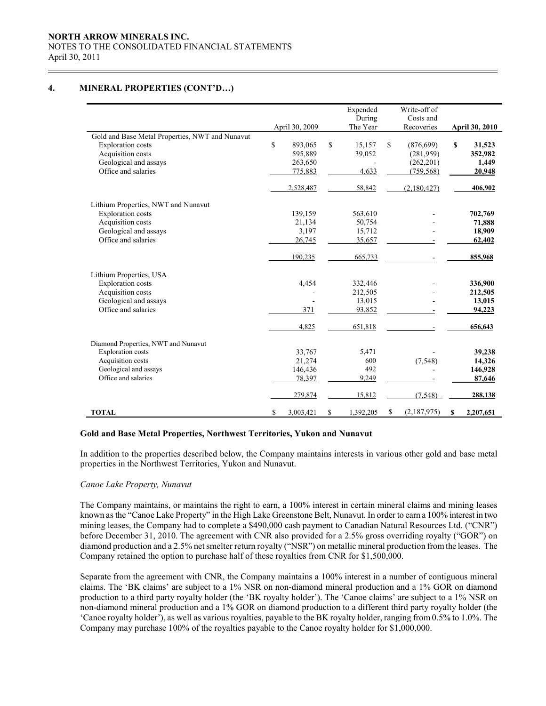# NORTH ARROW MINERALS INC. NOTES TO THE CONSOLIDATED FINANCIAL STATEMENTS April 30, 2011

# 4. MINERAL PROPERTIES (CONT'D…)

 $\overline{a}$ 

|                                                 |                 | Expended        |    | Write-off of |                       |
|-------------------------------------------------|-----------------|-----------------|----|--------------|-----------------------|
|                                                 |                 | During          |    | Costs and    |                       |
|                                                 | April 30, 2009  | The Year        |    | Recoveries   | <b>April 30, 2010</b> |
| Gold and Base Metal Properties, NWT and Nunavut |                 |                 |    |              |                       |
| <b>Exploration</b> costs                        | \$<br>893,065   | \$<br>15,157    | \$ | (876, 699)   | \$<br>31,523          |
| Acquisition costs                               | 595,889         | 39,052          |    | (281,959)    | 352,982               |
| Geological and assays                           | 263,650         |                 |    | (262, 201)   | 1,449                 |
| Office and salaries                             | 775,883         | 4,633           |    | (759, 568)   | 20,948                |
|                                                 | 2,528,487       | 58,842          |    | (2,180,427)  | 406,902               |
| Lithium Properties, NWT and Nunavut             |                 |                 |    |              |                       |
| <b>Exploration</b> costs                        | 139,159         | 563,610         |    |              | 702,769               |
| Acquisition costs                               | 21,134          | 50,754          |    |              | 71,888                |
| Geological and assays                           | 3,197           | 15,712          |    |              | 18,909                |
| Office and salaries                             | 26,745          | 35,657          |    |              | 62,402                |
|                                                 | 190,235         | 665,733         |    |              | 855,968               |
| Lithium Properties, USA                         |                 |                 |    |              |                       |
| <b>Exploration costs</b>                        | 4,454           | 332,446         |    |              | 336,900               |
| Acquisition costs                               |                 | 212,505         |    |              | 212,505               |
| Geological and assays                           |                 | 13,015          |    |              | 13,015                |
| Office and salaries                             | 371             | 93,852          |    |              | 94,223                |
|                                                 | 4,825           | 651,818         |    |              | 656,643               |
| Diamond Properties, NWT and Nunavut             |                 |                 |    |              |                       |
| <b>Exploration</b> costs                        | 33,767          | 5,471           |    |              | 39,238                |
| Acquisition costs                               | 21,274          | 600             |    | (7, 548)     | 14,326                |
| Geological and assays                           | 146,436         | 492             |    |              | 146,928               |
| Office and salaries                             | 78,397          | 9,249           |    |              | 87,646                |
|                                                 | 279,874         | 15,812          |    | (7, 548)     | 288,138               |
| <b>TOTAL</b>                                    | \$<br>3,003,421 | \$<br>1,392,205 | S  | (2,187,975)  | \$<br>2,207,651       |

#### Gold and Base Metal Properties, Northwest Territories, Yukon and Nunavut

In addition to the properties described below, the Company maintains interests in various other gold and base metal properties in the Northwest Territories, Yukon and Nunavut.

# Canoe Lake Property, Nunavut

 The Company maintains, or maintains the right to earn, a 100% interest in certain mineral claims and mining leases known as the "Canoe Lake Property" in the High Lake Greenstone Belt, Nunavut. In order to earn a 100% interest in two mining leases, the Company had to complete a \$490,000 cash payment to Canadian Natural Resources Ltd. ("CNR") before December 31, 2010. The agreement with CNR also provided for a 2.5% gross overriding royalty ("GOR") on diamond production and a 2.5% net smelter return royalty ("NSR") on metallic mineral production from the leases. The Company retained the option to purchase half of these royalties from CNR for \$1,500,000.

Separate from the agreement with CNR, the Company maintains a 100% interest in a number of contiguous mineral claims. The 'BK claims' are subject to a 1% NSR on non-diamond mineral production and a 1% GOR on diamond production to a third party royalty holder (the 'BK royalty holder'). The 'Canoe claims' are subject to a 1% NSR on non-diamond mineral production and a 1% GOR on diamond production to a different third party royalty holder (the 'Canoe royalty holder'), as well as various royalties, payable to the BK royalty holder, ranging from 0.5% to 1.0%. The Company may purchase 100% of the royalties payable to the Canoe royalty holder for \$1,000,000.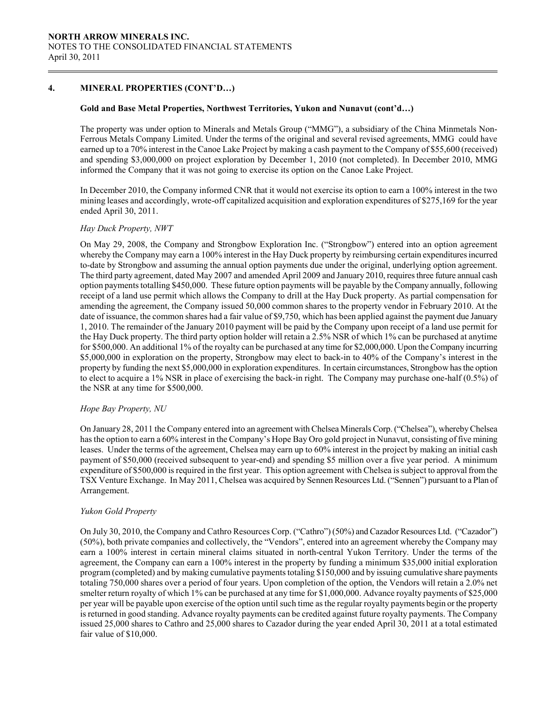# 4. MINERAL PROPERTIES (CONT'D…)

#### Gold and Base Metal Properties, Northwest Territories, Yukon and Nunavut (cont'd…)

The property was under option to Minerals and Metals Group ("MMG"), a subsidiary of the China Minmetals Non-Ferrous Metals Company Limited. Under the terms of the original and several revised agreements, MMG could have earned up to a 70% interest in the Canoe Lake Project by making a cash payment to the Company of \$55,600 (received) and spending \$3,000,000 on project exploration by December 1, 2010 (not completed). In December 2010, MMG informed the Company that it was not going to exercise its option on the Canoe Lake Project.

 In December 2010, the Company informed CNR that it would not exercise its option to earn a 100% interest in the two mining leases and accordingly, wrote-off capitalized acquisition and exploration expenditures of \$275,169 for the year ended April 30, 2011.

#### Hay Duck Property, NWT

On May 29, 2008, the Company and Strongbow Exploration Inc. ("Strongbow") entered into an option agreement whereby the Company may earn a 100% interest in the Hay Duck property by reimbursing certain expenditures incurred to-date by Strongbow and assuming the annual option payments due under the original, underlying option agreement. The third party agreement, dated May 2007 and amended April 2009 and January 2010, requires three future annual cash option payments totalling \$450,000. These future option payments will be payable by the Company annually, following receipt of a land use permit which allows the Company to drill at the Hay Duck property. As partial compensation for amending the agreement, the Company issued 50,000 common shares to the property vendor in February 2010. At the date of issuance, the common shares had a fair value of \$9,750, which has been applied against the payment due January 1, 2010. The remainder of the January 2010 payment will be paid by the Company upon receipt of a land use permit for the Hay Duck property. The third party option holder will retain a 2.5% NSR of which 1% can be purchased at anytime for \$500,000. An additional 1% of the royalty can be purchased at any time for \$2,000,000. Upon the Company incurring \$5,000,000 in exploration on the property, Strongbow may elect to back-in to 40% of the Company's interest in the property by funding the next \$5,000,000 in exploration expenditures. In certain circumstances, Strongbow has the option to elect to acquire a 1% NSR in place of exercising the back-in right. The Company may purchase one-half (0.5%) of the NSR at any time for \$500,000.

#### Hope Bay Property, NU

On January 28, 2011 the Company entered into an agreement with Chelsea Minerals Corp. ("Chelsea"), whereby Chelsea has the option to earn a 60% interest in the Company's Hope Bay Oro gold project in Nunavut, consisting of five mining leases. Under the terms of the agreement, Chelsea may earn up to 60% interest in the project by making an initial cash payment of \$50,000 (received subsequent to year-end) and spending \$5 million over a five year period. A minimum expenditure of \$500,000 is required in the first year. This option agreement with Chelsea is subject to approval from the TSX Venture Exchange. In May 2011, Chelsea was acquired by Sennen Resources Ltd. ("Sennen") pursuant to a Plan of Arrangement.

#### Yukon Gold Property

On July 30, 2010, the Company and Cathro Resources Corp. ("Cathro") (50%) and Cazador Resources Ltd. ("Cazador") (50%), both private companies and collectively, the "Vendors", entered into an agreement whereby the Company may earn a 100% interest in certain mineral claims situated in north-central Yukon Territory. Under the terms of the agreement, the Company can earn a 100% interest in the property by funding a minimum \$35,000 initial exploration program (completed) and by making cumulative payments totaling \$150,000 and by issuing cumulative share payments totaling 750,000 shares over a period of four years. Upon completion of the option, the Vendors will retain a 2.0% net smelter return royalty of which 1% can be purchased at any time for \$1,000,000. Advance royalty payments of \$25,000 per year will be payable upon exercise of the option until such time as the regular royalty payments begin or the property is returned in good standing. Advance royalty payments can be credited against future royalty payments. The Company issued 25,000 shares to Cathro and 25,000 shares to Cazador during the year ended April 30, 2011 at a total estimated fair value of \$10,000.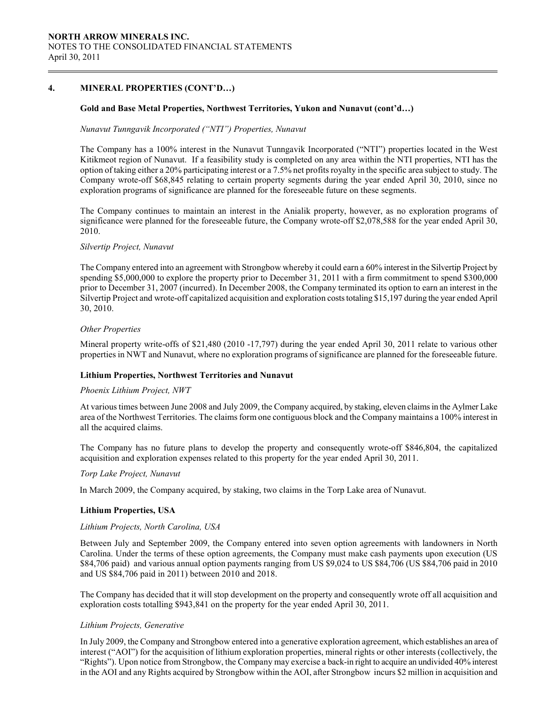# 4. MINERAL PROPERTIES (CONT'D…)

#### Gold and Base Metal Properties, Northwest Territories, Yukon and Nunavut (cont'd…)

#### Nunavut Tunngavik Incorporated ("NTI") Properties, Nunavut

The Company has a 100% interest in the Nunavut Tunngavik Incorporated ("NTI") properties located in the West Kitikmeot region of Nunavut. If a feasibility study is completed on any area within the NTI properties, NTI has the option of taking either a 20% participating interest or a 7.5% net profits royalty in the specific area subject to study. The Company wrote-off \$68,845 relating to certain property segments during the year ended April 30, 2010, since no exploration programs of significance are planned for the foreseeable future on these segments.

The Company continues to maintain an interest in the Anialik property, however, as no exploration programs of significance were planned for the foreseeable future, the Company wrote-off \$2,078,588 for the year ended April 30, 2010.

#### Silvertip Project, Nunavut

The Company entered into an agreement with Strongbow whereby it could earn a 60% interest in the Silvertip Project by spending \$5,000,000 to explore the property prior to December 31, 2011 with a firm commitment to spend \$300,000 prior to December 31, 2007 (incurred). In December 2008, the Company terminated its option to earn an interest in the Silvertip Project and wrote-off capitalized acquisition and exploration costs totaling \$15,197 during the year ended April 30, 2010.

#### Other Properties

Mineral property write-offs of \$21,480 (2010 -17,797) during the year ended April 30, 2011 relate to various other properties in NWT and Nunavut, where no exploration programs of significance are planned for the foreseeable future.

#### Lithium Properties, Northwest Territories and Nunavut

#### Phoenix Lithium Project, NWT

At various times between June 2008 and July 2009, the Company acquired, by staking, eleven claims in the Aylmer Lake area of the Northwest Territories. The claims form one contiguous block and the Company maintains a 100% interest in all the acquired claims.

The Company has no future plans to develop the property and consequently wrote-off \$846,804, the capitalized acquisition and exploration expenses related to this property for the year ended April 30, 2011.

#### Torp Lake Project, Nunavut

In March 2009, the Company acquired, by staking, two claims in the Torp Lake area of Nunavut.

# Lithium Properties, USA

#### Lithium Projects, North Carolina, USA

Between July and September 2009, the Company entered into seven option agreements with landowners in North Carolina. Under the terms of these option agreements, the Company must make cash payments upon execution (US \$84,706 paid) and various annual option payments ranging from US \$9,024 to US \$84,706 (US \$84,706 paid in 2010 and US \$84,706 paid in 2011) between 2010 and 2018.

The Company has decided that it will stop development on the property and consequently wrote off all acquisition and exploration costs totalling \$943,841 on the property for the year ended April 30, 2011.

#### Lithium Projects, Generative

In July 2009, the Company and Strongbow entered into a generative exploration agreement, which establishes an area of interest ("AOI") for the acquisition of lithium exploration properties, mineral rights or other interests (collectively, the "Rights"). Upon notice from Strongbow, the Company may exercise a back-in right to acquire an undivided 40% interest in the AOI and any Rights acquired by Strongbow within the AOI, after Strongbow incurs \$2 million in acquisition and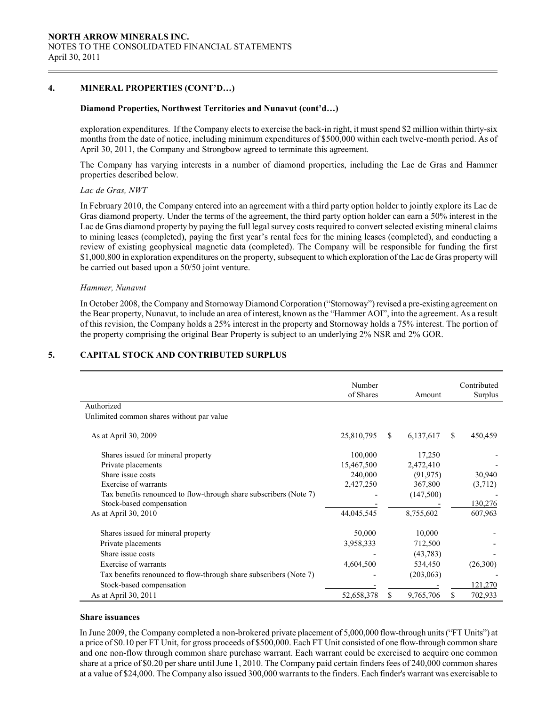# 4. MINERAL PROPERTIES (CONT'D…)

#### Diamond Properties, Northwest Territories and Nunavut (cont'd…)

exploration expenditures. If the Company elects to exercise the back-in right, it must spend \$2 million within thirty-six months from the date of notice, including minimum expenditures of \$500,000 within each twelve-month period. As of April 30, 2011, the Company and Strongbow agreed to terminate this agreement.

The Company has varying interests in a number of diamond properties, including the Lac de Gras and Hammer properties described below.

#### Lac de Gras, NWT

In February 2010, the Company entered into an agreement with a third party option holder to jointly explore its Lac de Gras diamond property. Under the terms of the agreement, the third party option holder can earn a 50% interest in the Lac de Gras diamond property by paying the full legal survey costs required to convert selected existing mineral claims to mining leases (completed), paying the first year's rental fees for the mining leases (completed), and conducting a review of existing geophysical magnetic data (completed). The Company will be responsible for funding the first \$1,000,800 in exploration expenditures on the property, subsequent to which exploration of the Lac de Gras property will be carried out based upon a 50/50 joint venture.

#### Hammer, Nunavut

In October 2008, the Company and Stornoway Diamond Corporation ("Stornoway") revised a pre-existing agreement on the Bear property, Nunavut, to include an area of interest, known as the "Hammer AOI", into the agreement. As a result of this revision, the Company holds a 25% interest in the property and Stornoway holds a 75% interest. The portion of the property comprising the original Bear Property is subject to an underlying 2% NSR and 2% GOR.

# 5. CAPITAL STOCK AND CONTRIBUTED SURPLUS

|                                                                   | Number<br>of Shares |               | Amount     | Contributed<br>Surplus |
|-------------------------------------------------------------------|---------------------|---------------|------------|------------------------|
| Authorized                                                        |                     |               |            |                        |
| Unlimited common shares without par value                         |                     |               |            |                        |
| As at April 30, 2009                                              | 25,810,795          | <sup>\$</sup> | 6,137,617  | \$<br>450,459          |
| Shares issued for mineral property                                | 100,000             |               | 17,250     |                        |
| Private placements                                                | 15,467,500          |               | 2,472,410  |                        |
| Share issue costs                                                 | 240,000             |               | (91, 975)  | 30,940                 |
| Exercise of warrants                                              | 2,427,250           |               | 367,800    | (3,712)                |
| Tax benefits renounced to flow-through share subscribers (Note 7) |                     |               | (147,500)  |                        |
| Stock-based compensation                                          |                     |               |            | 130,276                |
| As at April 30, 2010                                              | 44,045,545          |               | 8,755,602  | 607,963                |
| Shares issued for mineral property                                | 50,000              |               | 10,000     |                        |
| Private placements                                                | 3,958,333           |               | 712,500    |                        |
| Share issue costs                                                 |                     |               | (43, 783)  |                        |
| Exercise of warrants                                              | 4,604,500           |               | 534,450    | (26,300)               |
| Tax benefits renounced to flow-through share subscribers (Note 7) |                     |               | (203, 063) |                        |
| Stock-based compensation                                          |                     |               |            | 121,270                |
| As at April 30, 2011                                              | 52,658,378          |               | 9,765,706  | \$<br>702,933          |

#### Share issuances

In June 2009, the Company completed a non-brokered private placement of 5,000,000 flow-through units ("FT Units") at a price of \$0.10 per FT Unit, for gross proceeds of \$500,000. Each FT Unit consisted of one flow-through common share and one non-flow through common share purchase warrant. Each warrant could be exercised to acquire one common share at a price of \$0.20 per share until June 1, 2010. The Company paid certain finders fees of 240,000 common shares at a value of \$24,000. The Company also issued 300,000 warrants to the finders. Each finder's warrant was exercisable to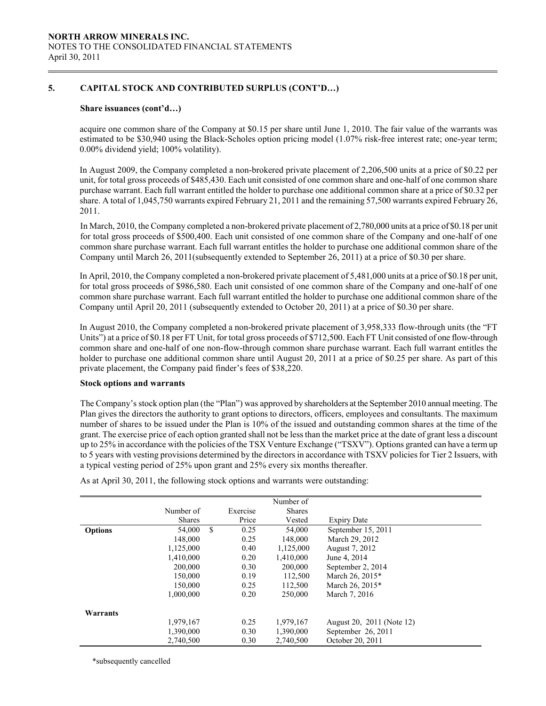# 5. CAPITAL STOCK AND CONTRIBUTED SURPLUS (CONT'D…)

#### Share issuances (cont'd…)

acquire one common share of the Company at \$0.15 per share until June 1, 2010. The fair value of the warrants was estimated to be \$30,940 using the Black-Scholes option pricing model (1.07% risk-free interest rate; one-year term; 0.00% dividend yield; 100% volatility).

In August 2009, the Company completed a non-brokered private placement of 2,206,500 units at a price of \$0.22 per unit, for total gross proceeds of \$485,430. Each unit consisted of one common share and one-half of one common share purchase warrant. Each full warrant entitled the holder to purchase one additional common share at a price of \$0.32 per share. A total of 1,045,750 warrants expired February 21, 2011 and the remaining 57,500 warrants expired February 26, 2011.

In March, 2010, the Company completed a non-brokered private placement of 2,780,000 units at a price of \$0.18 per unit for total gross proceeds of \$500,400. Each unit consisted of one common share of the Company and one-half of one common share purchase warrant. Each full warrant entitles the holder to purchase one additional common share of the Company until March 26, 2011(subsequently extended to September 26, 2011) at a price of \$0.30 per share.

In April, 2010, the Company completed a non-brokered private placement of 5,481,000 units at a price of \$0.18 per unit, for total gross proceeds of \$986,580. Each unit consisted of one common share of the Company and one-half of one common share purchase warrant. Each full warrant entitled the holder to purchase one additional common share of the Company until April 20, 2011 (subsequently extended to October 20, 2011) at a price of \$0.30 per share.

In August 2010, the Company completed a non-brokered private placement of 3,958,333 flow-through units (the "FT Units") at a price of \$0.18 per FT Unit, for total gross proceeds of \$712,500. Each FT Unit consisted of one flow-through common share and one-half of one non-flow-through common share purchase warrant. Each full warrant entitles the holder to purchase one additional common share until August 20, 2011 at a price of \$0.25 per share. As part of this private placement, the Company paid finder's fees of \$38,220.

#### Stock options and warrants

The Company's stock option plan (the "Plan") was approved by shareholders at the September 2010 annual meeting. The Plan gives the directors the authority to grant options to directors, officers, employees and consultants. The maximum number of shares to be issued under the Plan is 10% of the issued and outstanding common shares at the time of the grant. The exercise price of each option granted shall not be less than the market price at the date of grant less a discount up to 25% in accordance with the policies of the TSX Venture Exchange ("TSXV"). Options granted can have a term up to 5 years with vesting provisions determined by the directors in accordance with TSXV policies for Tier 2 Issuers, with a typical vesting period of 25% upon grant and 25% every six months thereafter.

|                |               |               |          | Number of     |                           |
|----------------|---------------|---------------|----------|---------------|---------------------------|
|                | Number of     |               | Exercise | <b>Shares</b> |                           |
|                | <b>Shares</b> |               | Price    | Vested        | <b>Expiry Date</b>        |
| <b>Options</b> | 54,000        | <sup>\$</sup> | 0.25     | 54,000        | September 15, 2011        |
|                | 148,000       |               | 0.25     | 148,000       | March 29, 2012            |
|                | 1,125,000     |               | 0.40     | 1,125,000     | August 7, 2012            |
|                | 1.410.000     |               | 0.20     | 1,410,000     | June 4, 2014              |
|                | 200,000       |               | 0.30     | 200,000       | September 2, 2014         |
|                | 150,000       |               | 0.19     | 112,500       | March 26, 2015*           |
|                | 150.000       |               | 0.25     | 112,500       | March 26, 2015*           |
|                | 1.000.000     |               | 0.20     | 250,000       | March 7, 2016             |
|                |               |               |          |               |                           |
| Warrants       |               |               |          |               |                           |
|                | 1,979,167     |               | 0.25     | 1,979,167     | August 20, 2011 (Note 12) |
|                | 1,390,000     |               | 0.30     | 1,390,000     | September 26, 2011        |
|                | 2,740,500     |               | 0.30     | 2,740,500     | October 20, 2011          |

As at April 30, 2011, the following stock options and warrants were outstanding:

\*subsequently cancelled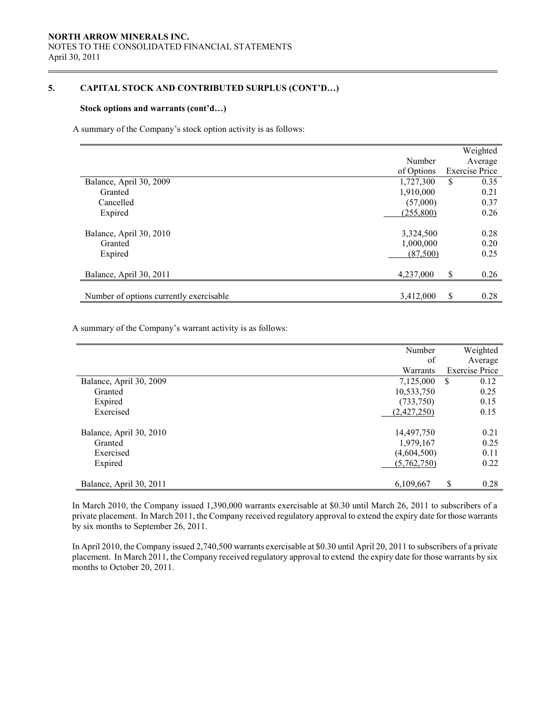# 5. CAPITAL STOCK AND CONTRIBUTED SURPLUS (CONT'D…)

#### Stock options and warrants (cont'd…)

 $\overline{a}$ 

A summary of the Company's stock option activity is as follows:

|            | Weighted              |
|------------|-----------------------|
| Number     | Average               |
| of Options | <b>Exercise Price</b> |
| 1,727,300  | \$<br>0.35            |
| 1,910,000  | 0.21                  |
| (57,000)   | 0.37                  |
| (255, 800) | 0.26                  |
|            |                       |
| 3,324,500  | 0.28                  |
| 1,000,000  | 0.20                  |
| (87,500)   | 0.25                  |
|            |                       |
| 4,237,000  | \$<br>0.26            |
|            |                       |
| 3,412,000  | \$<br>0.28            |
|            |                       |

A summary of the Company's warrant activity is as follows:

|                         | Number      | Weighted              |
|-------------------------|-------------|-----------------------|
|                         | of          | Average               |
|                         | Warrants    | <b>Exercise Price</b> |
| Balance, April 30, 2009 | 7,125,000   | \$<br>0.12            |
| Granted                 | 10,533,750  | 0.25                  |
| Expired                 | (733,750)   | 0.15                  |
| Exercised               | (2,427,250) | 0.15                  |
|                         |             |                       |
| Balance, April 30, 2010 | 14,497,750  | 0.21                  |
| Granted                 | 1,979,167   | 0.25                  |
| Exercised               | (4,604,500) | 0.11                  |
| Expired                 | (5,762,750) | 0.22                  |
|                         |             |                       |
| Balance, April 30, 2011 | 6,109,667   | \$<br>0.28            |

 In March 2010, the Company issued 1,390,000 warrants exercisable at \$0.30 until March 26, 2011 to subscribers of a private placement. In March 2011, the Company received regulatory approval to extend the expiry date for those warrants by six months to September 26, 2011.

 In April 2010, the Company issued 2,740,500 warrants exercisable at \$0.30 until April 20, 2011 to subscribers of a private placement. In March 2011, the Company received regulatory approval to extend the expiry date for those warrants by six months to October 20, 2011.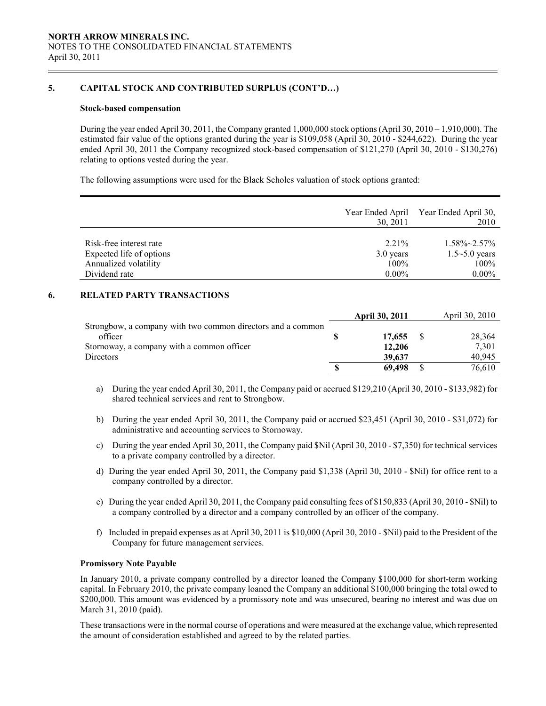# 5. CAPITAL STOCK AND CONTRIBUTED SURPLUS (CONT'D…)

#### Stock-based compensation

 During the year ended April 30, 2011, the Company granted 1,000,000 stock options (April 30, 2010 – 1,910,000). The estimated fair value of the options granted during the year is \$109,058 (April 30, 2010 - \$244,622). During the year ended April 30, 2011 the Company recognized stock-based compensation of \$121,270 (April 30, 2010 - \$130,276) relating to options vested during the year.

The following assumptions were used for the Black Scholes valuation of stock options granted:

|                          | Year Ended April<br>30, 2011 | Year Ended April 30,<br>2010 |
|--------------------------|------------------------------|------------------------------|
|                          |                              |                              |
| Risk-free interest rate  | $2.21\%$                     | $1.58\% \sim 2.57\%$         |
| Expected life of options | 3.0 years                    | $1.5 - 5.0$ years            |
| Annualized volatility    | $100\%$                      | 100%                         |
| Dividend rate            | $0.00\%$                     | $0.00\%$                     |

## 6. RELATED PARTY TRANSACTIONS

|                                                             |   | <b>April 30, 2011</b> | April 30, 2010 |
|-------------------------------------------------------------|---|-----------------------|----------------|
| Strongbow, a company with two common directors and a common |   |                       |                |
| officer                                                     |   | 17,655                | 28,364         |
| Stornoway, a company with a common officer                  |   | 12,206                | 7.301          |
| <b>Directors</b>                                            |   | 39,637                | 40.945         |
|                                                             | S | 69.498                | 76.610         |

- a) During the year ended April 30, 2011, the Company paid or accrued \$129,210 (April 30, 2010 \$133,982) for shared technical services and rent to Strongbow.
- b) During the year ended April 30, 2011, the Company paid or accrued \$23,451 (April 30, 2010 \$31,072) for administrative and accounting services to Stornoway.
- c) During the year ended April 30, 2011, the Company paid \$Nil (April 30, 2010 \$7,350) for technical services to a private company controlled by a director.
- d) During the year ended April 30, 2011, the Company paid \$1,338 (April 30, 2010 \$Nil) for office rent to a company controlled by a director.
- e) During the year ended April 30, 2011, the Company paid consulting fees of \$150,833 (April 30, 2010 \$Nil) to a company controlled by a director and a company controlled by an officer of the company.
- f) Included in prepaid expenses as at April 30, 2011 is \$10,000 (April 30, 2010 \$Nil) paid to the President of the Company for future management services.

#### Promissory Note Payable

In January 2010, a private company controlled by a director loaned the Company \$100,000 for short-term working capital. In February 2010, the private company loaned the Company an additional \$100,000 bringing the total owed to \$200,000. This amount was evidenced by a promissory note and was unsecured, bearing no interest and was due on March 31, 2010 (paid).

 These transactions were in the normal course of operations and were measured at the exchange value, which represented the amount of consideration established and agreed to by the related parties.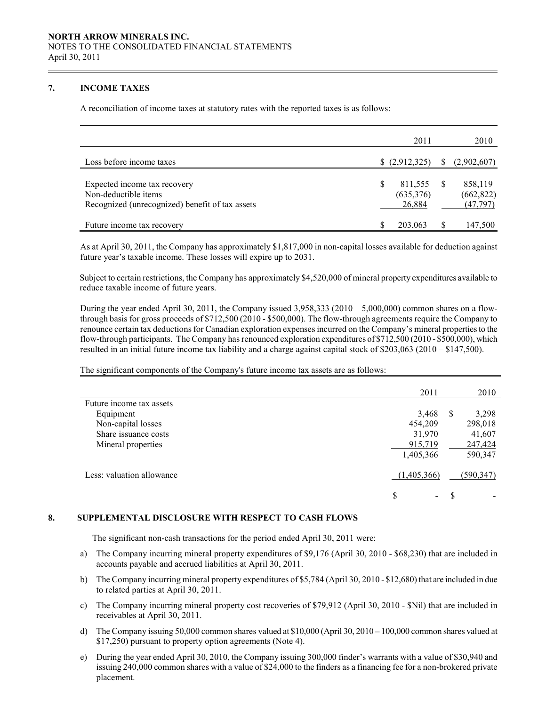# 7. INCOME TAXES

 $\overline{a}$ 

A reconciliation of income taxes at statutory rates with the reported taxes is as follows:

|                                                 |   | 2011        |              | 2010        |
|-------------------------------------------------|---|-------------|--------------|-------------|
| Loss before income taxes                        |   | (2,912,325) | <sup>S</sup> | (2,902,607) |
| Expected income tax recovery                    | S | 811,555     |              | 858,119     |
| Non-deductible items                            |   | (635, 376)  |              | (662, 822)  |
| Recognized (unrecognized) benefit of tax assets |   | 26,884      |              | (47, 797)   |
| Future income tax recovery                      |   | 203,063     |              | 147,500     |

 As at April 30, 2011, the Company has approximately \$1,817,000 in non-capital losses available for deduction against future year's taxable income. These losses will expire up to 2031.

Subject to certain restrictions, the Company has approximately \$4,520,000 of mineral property expenditures available to reduce taxable income of future years.

During the year ended April 30, 2011, the Company issued 3,958,333 (2010 – 5,000,000) common shares on a flowthrough basis for gross proceeds of \$712,500 (2010 - \$500,000). The flow-through agreements require the Company to renounce certain tax deductions for Canadian exploration expenses incurred on the Company's mineral properties to the flow-through participants. The Company has renounced exploration expenditures of \$712,500 (2010 - \$500,000), which resulted in an initial future income tax liability and a charge against capital stock of \$203,063 (2010 – \$147,500).

The significant components of the Company's future income tax assets are as follows:

|                           | 2011                           |               | 2010      |
|---------------------------|--------------------------------|---------------|-----------|
| Future income tax assets  |                                |               |           |
| Equipment                 | 3,468                          | -S            | 3,298     |
| Non-capital losses        | 454,209                        |               | 298,018   |
| Share issuance costs      | 31,970                         |               | 41,607    |
| Mineral properties        | 915,719                        |               | 247,424   |
|                           | 1,405,366                      |               | 590,347   |
| Less: valuation allowance | (1,405,366)                    |               | (590,347) |
|                           | \$<br>$\overline{\phantom{a}}$ | <sup>\$</sup> |           |

# 8. SUPPLEMENTAL DISCLOSURE WITH RESPECT TO CASH FLOWS

The significant non-cash transactions for the period ended April 30, 2011 were:

- a) The Company incurring mineral property expenditures of \$9,176 (April 30, 2010 \$68,230) that are included in accounts payable and accrued liabilities at April 30, 2011.
- b) The Company incurring mineral property expenditures of \$5,784 (April 30, 2010 \$12,680) that are included in due to related parties at April 30, 2011.
- c) The Company incurring mineral property cost recoveries of \$79,912 (April 30, 2010 \$Nil) that are included in receivables at April 30, 2011.
- d) The Company issuing 50,000 common shares valued at \$10,000 (April 30, 2010 100,000 common shares valued at \$17,250) pursuant to property option agreements (Note 4).
- e) During the year ended April 30, 2010, the Company issuing 300,000 finder's warrants with a value of \$30,940 and issuing 240,000 common shares with a value of \$24,000 to the finders as a financing fee for a non-brokered private placement.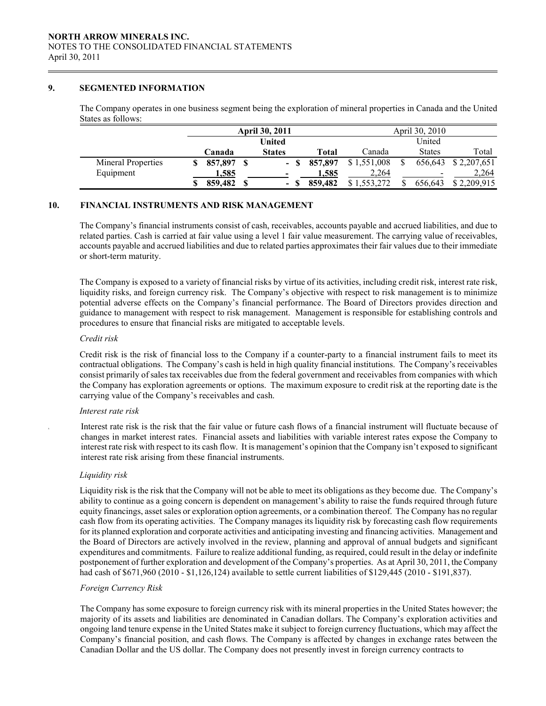## 9. SEGMENTED INFORMATION

 $\overline{a}$ 

The Company operates in one business segment being the exploration of mineral properties in Canada and the United States as follows:

|                           | <b>April 30, 2011</b> |  |               |         | April 30, 2010 |   |               |                     |
|---------------------------|-----------------------|--|---------------|---------|----------------|---|---------------|---------------------|
|                           |                       |  | <b>United</b> |         |                |   | United        |                     |
|                           | Canada                |  | <b>States</b> | Total   | Canada         |   | <b>States</b> | Total               |
| <b>Mineral Properties</b> | 857.897               |  |               | 857,897 | \$1,551,008    | S |               | 656,643 \$2,207,651 |
| Equipment                 | 1,585                 |  |               | 1.585   | 2,264          |   | -             | 2,264               |
|                           | 859,482               |  | - \$          | 859,482 | \$1,553,272    |   | 656.643       | \$2,209,915         |

## 10. FINANCIAL INSTRUMENTS AND RISK MANAGEMENT

The Company's financial instruments consist of cash, receivables, accounts payable and accrued liabilities, and due to related parties. Cash is carried at fair value using a level 1 fair value measurement. The carrying value of receivables, accounts payable and accrued liabilities and due to related parties approximates their fair values due to their immediate or short-term maturity.

The Company is exposed to a variety of financial risks by virtue of its activities, including credit risk, interest rate risk, liquidity risks, and foreign currency risk. The Company's objective with respect to risk management is to minimize potential adverse effects on the Company's financial performance. The Board of Directors provides direction and guidance to management with respect to risk management. Management is responsible for establishing controls and procedures to ensure that financial risks are mitigated to acceptable levels.

#### Credit risk

Credit risk is the risk of financial loss to the Company if a counter-party to a financial instrument fails to meet its contractual obligations. The Company's cash is held in high quality financial institutions. The Company's receivables consist primarily of sales tax receivables due from the federal government and receivables from companies with which the Company has exploration agreements or options. The maximum exposure to credit risk at the reporting date is the carrying value of the Company's receivables and cash.

#### Interest rate risk

Interest rate risk is the risk that the fair value or future cash flows of a financial instrument will fluctuate because of changes in market interest rates. Financial assets and liabilities with variable interest rates expose the Company to interest rate risk with respect to its cash flow. It is management's opinion that the Company isn't exposed to significant interest rate risk arising from these financial instruments.

#### Liquidity risk

Liquidity risk is the risk that the Company will not be able to meet its obligations as they become due. The Company's ability to continue as a going concern is dependent on management's ability to raise the funds required through future equity financings, asset sales or exploration option agreements, or a combination thereof. The Company has no regular cash flow from its operating activities. The Company manages its liquidity risk by forecasting cash flow requirements for its planned exploration and corporate activities and anticipating investing and financing activities. Management and the Board of Directors are actively involved in the review, planning and approval of annual budgets and significant expenditures and commitments. Failure to realize additional funding, as required, could result in the delay or indefinite postponement of further exploration and development of the Company's properties. As at April 30, 2011, the Company had cash of \$671,960 (2010 - \$1,126,124) available to settle current liabilities of \$129,445 (2010 - \$191,837).

#### Foreign Currency Risk

 The Company has some exposure to foreign currency risk with its mineral properties in the United States however; the majority of its assets and liabilities are denominated in Canadian dollars. The Company's exploration activities and ongoing land tenure expense in the United States make it subject to foreign currency fluctuations, which may affect the Company's financial position, and cash flows. The Company is affected by changes in exchange rates between the Canadian Dollar and the US dollar. The Company does not presently invest in foreign currency contracts to